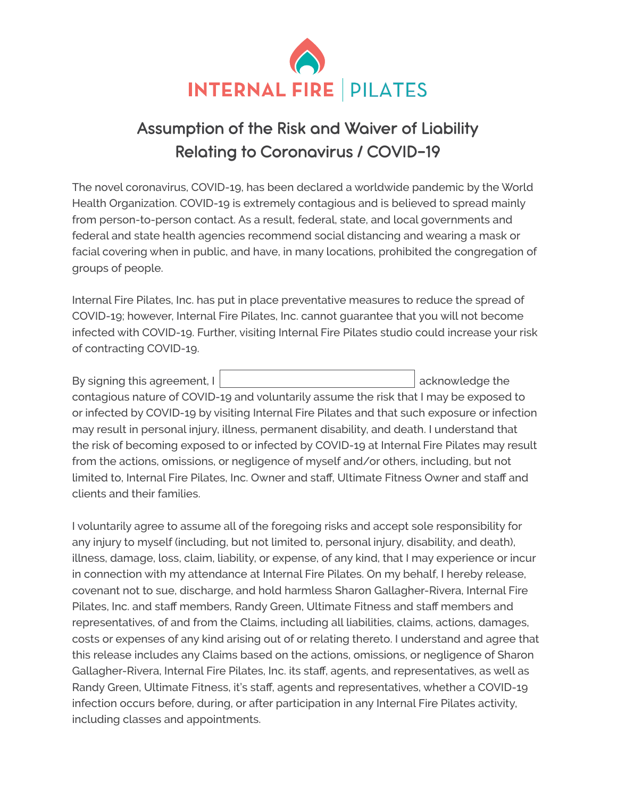

## **Assumption of the Risk and Waiver of Liability Relating to Coronavirus / COVID-19**

The novel coronavirus, COVID-19, has been declared a worldwide pandemic by the World Health Organization. COVID-19 is extremely contagious and is believed to spread mainly from person-to-person contact. As a result, federal, state, and local governments and federal and state health agencies recommend social distancing and wearing a mask or facial covering when in public, and have, in many locations, prohibited the congregation of groups of people.

Internal Fire Pilates, Inc. has put in place preventative measures to reduce the spread of COVID-19; however, Internal Fire Pilates, Inc. cannot guarantee that you will not become infected with COVID-19. Further, visiting Internal Fire Pilates studio could increase your risk of contracting COVID-19.

| By signing this agreement, I                                                                  |                                                                                               | acknowledge the |  |  |
|-----------------------------------------------------------------------------------------------|-----------------------------------------------------------------------------------------------|-----------------|--|--|
|                                                                                               | contagious nature of COVID-19 and voluntarily assume the risk that I may be exposed to        |                 |  |  |
| or infected by COVID-19 by visiting Internal Fire Pilates and that such exposure or infection |                                                                                               |                 |  |  |
| may result in personal injury, illness, permanent disability, and death. I understand that    |                                                                                               |                 |  |  |
| the risk of becoming exposed to or infected by COVID-19 at Internal Fire Pilates may result   |                                                                                               |                 |  |  |
| from the actions, omissions, or negligence of myself and/or others, including, but not        |                                                                                               |                 |  |  |
|                                                                                               | limited to, Internal Fire Pilates, Inc. Owner and staff, Ultimate Fitness Owner and staff and |                 |  |  |
| clients and their families.                                                                   |                                                                                               |                 |  |  |

I voluntarily agree to assume all of the foregoing risks and accept sole responsibility for any injury to myself (including, but not limited to, personal injury, disability, and death), illness, damage, loss, claim, liability, or expense, of any kind, that I may experience or incur in connection with my attendance at Internal Fire Pilates. On my behalf, I hereby release, covenant not to sue, discharge, and hold harmless Sharon Gallagher-Rivera, Internal Fire Pilates, Inc. and staff members, Randy Green, Ultimate Fitness and staff members and representatives, of and from the Claims, including all liabilities, claims, actions, damages, costs or expenses of any kind arising out of or relating thereto. I understand and agree that this release includes any Claims based on the actions, omissions, or negligence of Sharon Gallagher-Rivera, Internal Fire Pilates, Inc. its staff, agents, and representatives, as well as Randy Green, Ultimate Fitness, it's staff, agents and representatives, whether a COVID-19 infection occurs before, during, or after participation in any Internal Fire Pilates activity, including classes and appointments.